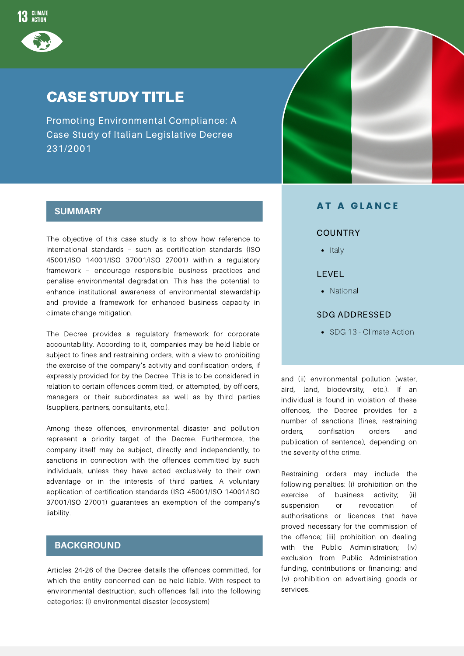

## CASE STUDY TITLE

Promoting Environmental Compliance: A Case Study of Italian Legislative Decree 231/2001

#### **SUMMARY**

The objective of this case study is to show how reference to international standards – such as certification standards (ISO 45001/ISO 14001/ISO 37001/ISO 27001) within a regulatory framework – encourage responsible business practices and penalise environmental degradation. This has the potential to enhance institutional awareness of environmental stewardship and provide a framework for enhanced business capacity in climate change mitigation.

The Decree provides a regulatory framework for corporate accountability. According to it, companies may be held liable or subject to fines and restraining orders, with a view to prohibiting the exercise of the company's activity and confiscation orders, if expressly provided for by the Decree. This is to be considered in relation to certain offences committed, or attempted, by officers, managers or their subordinates as well as by third parties (suppliers, partners, consultants, etc.).

Among these offences, environmental disaster and pollution represent a priority target of the Decree. Furthermore, the company itself may be subject, directly and independently, to sanctions in connection with the offences committed by such individuals, unless they have acted exclusively to their own advantage or in the interests of third parties. A voluntary application of certification standards (ISO 45001/ISO 14001/ISO 37001/ISO 27001) guarantees an exemption of the company's liability.

#### **BACKGROUND**

Articles 24-26 of the Decree details the offences committed, for which the entity concerned can be held liable. With respect to environmental destruction, such offences fall into the following categories: (i) environmental disaster (ecosystem)



#### **AT A GLANCE**

#### **COUNTRY**

 $\bullet$  Italy

#### LEVEL

• National

#### SDG ADDRESSED

• SDG 13 - Climate Action

and (ii) environmental pollution (water, aird, land, biodevrsity, etc.). If an individual is found in violation of these offences, the Decree provides for a number of sanctions (fines, restraining orders, confisation orders and publication of sentence), depending on the severity of the crime.

Restraining orders may include the following penalties: (i) prohibition on the exercise of business activity; (ii) suspension or revocation of authorisations or licences that have proved necessary for the commission of the offence; (iii) prohibition on dealing with the Public Administration; (iv) exclusion from Public Administration funding, contributions or financing; and (v) prohibition on advertising goods or services.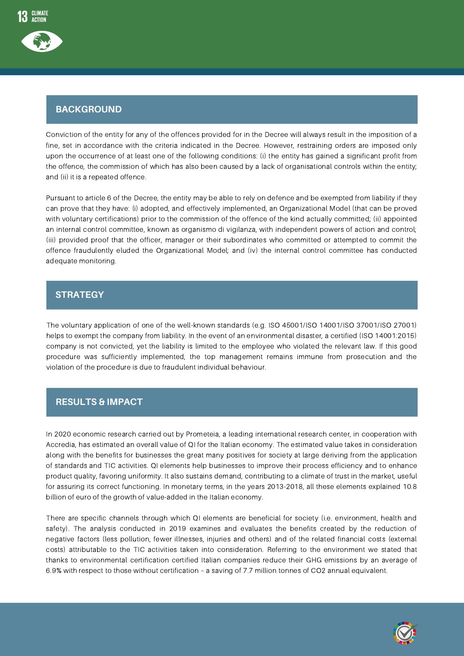# **BACKGROUND**

Conviction of the entity for any of the offences provided for in the Decree will always result in the imposition of a fine, set in accordance with the criteria indicated in the Decree. However, restraining orders are imposed only upon the occurrence of at least one of the following conditions: (i) the entity has gained a significant profit from the offence, the commission of which has also been caused by a lack of organisational controls within the entity; and (ii) it is a repeated offence.

Pursuant to article 6 of the Decree, the entity may be able to rely on defence and be exempted from liability if they can prove that they have: (i) adopted, and effectively implemented, an Organizational Model (that can be proved with voluntary certifications) prior to the commission of the offence of the kind actually committed; (ii) appointed an internal control committee, known as organismo di vigilanza, with independent powers of action and control; (iii) provided proof that the officer, manager or their subordinates who committed or attempted to commit the offence fraudulently eluded the Organizational Model; and (iv) the internal control committee has conducted adequate monitoring.

### **STRATEGY**

**RESULTS & IMPACT** violation of the procedure is due to fraudulent individual behaviour. The voluntary application of one of the well-known standards (e.g. ISO 45001/ISO 14001/ISO 37001/ISO 27001) helps to exempt the company from liability. In the event of an environmental disaster, a certified (ISO 14001:2015) company is not convicted, yet the liability is limited to the employee who violated the relevant law. If this good procedure was sufficiently implemented, the top management remains immune from prosecution and the

### **RESULTS & IMPACT**

In 2020 economic research carried out by Prometeia, a leading international research center, in cooperation with Accredia, has estimated an overall value of QI for the Italian economy. The estimated value takes in consideration along with the benefits for businesses the great many positives for society at large deriving from the application of standards and TIC activities. QI elements help businesses to improve their process efficiency and to enhance product quality, favoring uniformity. It also sustains demand, contributing to a climate of trust in the market, useful for assuring its correct functioning. In monetary terms, in the years 2013-2018, all these elements explained 10.8 billion of euro of the growth of value-added in the Italian economy.

There are specific channels through which QI elements are beneficial for society (i.e. environment, health and safety). The analysis conducted in 2019 examines and evaluates the benefits created by the reduction of negative factors (less pollution, fewer illnesses, injuries and others) and of the related financial costs (external costs) attributable to the TIC activities taken into consideration. Referring to the environment we stated that thanks to environmental certification certified Italian companies reduce their GHG emissions by an average of 6.9% with respect to those without certification – a saving of 7.7 million tonnes of CO2 annual equivalent.